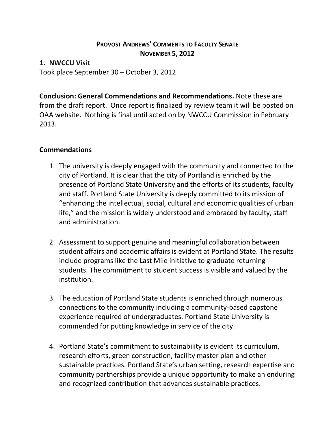## **PROVOST ANDREWS' COMMENTS TO FACULTY SENATE NOVEMBER 5, 2012**

### **1. NWCCU Visit**

Took place September 30 – October 3, 2012

**Conclusion: General Commendations and Recommendations.** Note these are from the draft report. Once report is finalized by review team it will be posted on OAA website. Nothing is final until acted on by NWCCU Commission in February 2013.

## **Commendations**

- 1. The university is deeply engaged with the community and connected to the city of Portland. It is clear that the city of Portland is enriched by the presence of Portland State University and the efforts of its students, faculty and staff. Portland State University is deeply committed to its mission of "enhancing the intellectual, social, cultural and economic qualities of urban life," and the mission is widely understood and embraced by faculty, staff and administration.
- 2. Assessment to support genuine and meaningful collaboration between student affairs and academic affairs is evident at Portland State. The results include programs like the Last Mile initiative to graduate returning students. The commitment to student success is visible and valued by the institution.
- 3. The education of Portland State students is enriched through numerous connections to the community including a community-based capstone experience required of undergraduates. Portland State University is commended for putting knowledge in service of the city.
- 4. Portland State's commitment to sustainability is evident its curriculum, research efforts, green construction, facility master plan and other sustainable practices. Portland State's urban setting, research expertise and community partnerships provide a unique opportunity to make an enduring and recognized contribution that advances sustainable practices.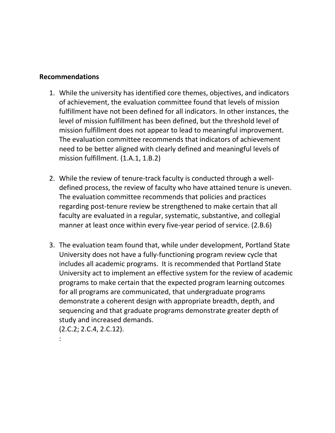#### **Recommendations**

- 1. While the university has identified core themes, objectives, and indicators of achievement, the evaluation committee found that levels of mission fulfillment have not been defined for all indicators. In other instances, the level of mission fulfillment has been defined, but the threshold level of mission fulfillment does not appear to lead to meaningful improvement. The evaluation committee recommends that indicators of achievement need to be better aligned with clearly defined and meaningful levels of mission fulfillment. (1.A.1, 1.B.2)
- 2. While the review of tenure-track faculty is conducted through a welldefined process, the review of faculty who have attained tenure is uneven. The evaluation committee recommends that policies and practices regarding post-tenure review be strengthened to make certain that all faculty are evaluated in a regular, systematic, substantive, and collegial manner at least once within every five-year period of service. (2.B.6)
- 3. The evaluation team found that, while under development, Portland State University does not have a fully-functioning program review cycle that includes all academic programs. It is recommended that Portland State University act to implement an effective system for the review of academic programs to make certain that the expected program learning outcomes for all programs are communicated, that undergraduate programs demonstrate a coherent design with appropriate breadth, depth, and sequencing and that graduate programs demonstrate greater depth of study and increased demands.

(2.C.2; 2.C.4, 2.C.12).

: